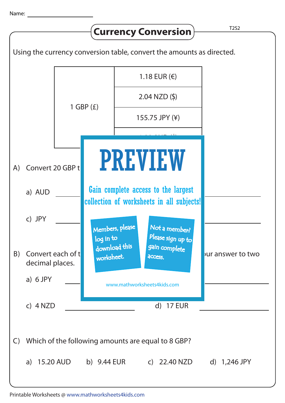